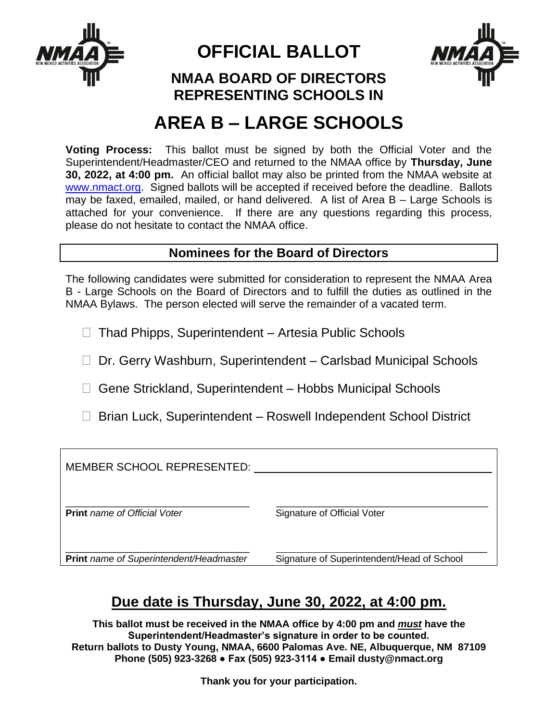

**OFFICIAL BALLOT**



### **NMAA BOARD OF DIRECTORS REPRESENTING SCHOOLS IN**

# **AREA B – LARGE SCHOOLS**

**Voting Process:** This ballot must be signed by both the Official Voter and the Superintendent/Headmaster/CEO and returned to the NMAA office by **Thursday, June 30, 2022, at 4:00 pm.** An official ballot may also be printed from the NMAA website at [www.nmact.org.](http://www.nmact.org/) Signed ballots will be accepted if received before the deadline. Ballots may be faxed, emailed, mailed, or hand delivered. A list of Area B – Large Schools is attached for your convenience. If there are any questions regarding this process, please do not hesitate to contact the NMAA office.

### **Nominees for the Board of Directors**

The following candidates were submitted for consideration to represent the NMAA Area B - Large Schools on the Board of Directors and to fulfill the duties as outlined in the NMAA Bylaws. The person elected will serve the remainder of a vacated term.

 $\Box$  Thad Phipps, Superintendent – Artesia Public Schools

- □ Dr. Gerry Washburn, Superintendent Carlsbad Municipal Schools
- □ Gene Strickland, Superintendent Hobbs Municipal Schools
- □ Brian Luck, Superintendent Roswell Independent School District

| MEMBER SCHOOL REPRESENTED:              |                                            |
|-----------------------------------------|--------------------------------------------|
| <b>Print</b> name of Official Voter     | Signature of Official Voter                |
| Print name of Superintendent/Headmaster | Signature of Superintendent/Head of School |

## **Due date is Thursday, June 30, 2022, at 4:00 pm.**

**This ballot must be received in the NMAA office by 4:00 pm and** *must* **have the Superintendent/Headmaster's signature in order to be counted. Return ballots to Dusty Young, NMAA, 6600 Palomas Ave. NE, Albuquerque, NM 87109 Phone (505) 923-3268 ● Fax (505) 923-3114 ● Email dusty@nmact.org**

**Thank you for your participation.**